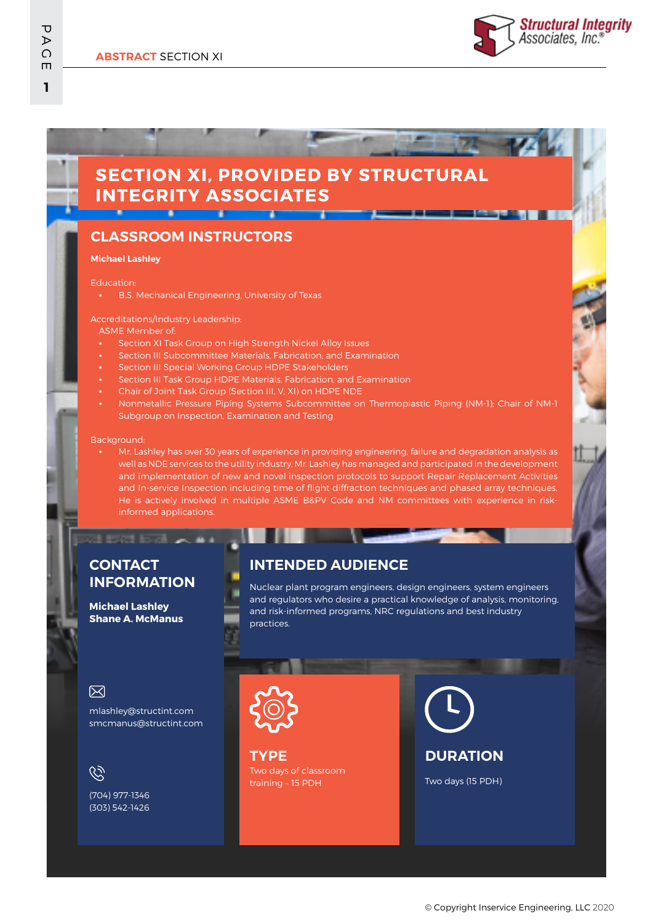

# **SECTION XI, PROVIDED BY STRUCTURAL INTEGRITY ASSOCIATES**

## **CLASSROOM INSTRUCTORS**

#### **Michael Lashley**

Education:

**B.S. Mechanical Engineering, University of Texas** 

#### Accreditations/Industry Leadership:

ASME Member of:

- Section XI Task Group on High Strength Nickel Alloy Issues
- Section III Subcommittee Materials, Fabrication, and Examination
- Section III Special Working Group HDPE Stakeholders
- Section III Task Group HDPE Materials, Fabrication, and Examination
- Chair of Joint Task Group (Section III, V, XI) on HDPE NDE
- Nonmetallic Pressure Piping Systems Subcommittee on Thermoplastic Piping (NM-1); Chair of NM-1 Subgroup on Inspection, Examination and Testing

#### Background:

Mr. Lashley has over 30 years of experience in providing engineering, failure and degradation analysis as well as NDE services to the utility industry. Mr. Lashley has managed and participated in the development and implementation of new and novel inspection protocols to support Repair Replacement Activities and In-service Inspection including time of flight diffraction techniques and phased array techniques. He is actively involved in multiple ASME B&PV Code and NM committees with experience in riskinformed applications.

## **CONTACT INFORMATION**

#### **Michael Lashley Shane A. McManus**

### **INTENDED AUDIENCE**

Nuclear plant program engineers, design engineers, system engineers and regulators who desire a practical knowledge of analysis, monitoring, and risk-informed programs, NRC regulations and best industry practices.

## 冈

mlashley@structint.com smcmanus@structint.com

 $\mathcal{C}$ 

(704) 977-1346 (303) 542-1426



Two days of classroom training – 15 PDH **TYPE**



Two days (15 PDH)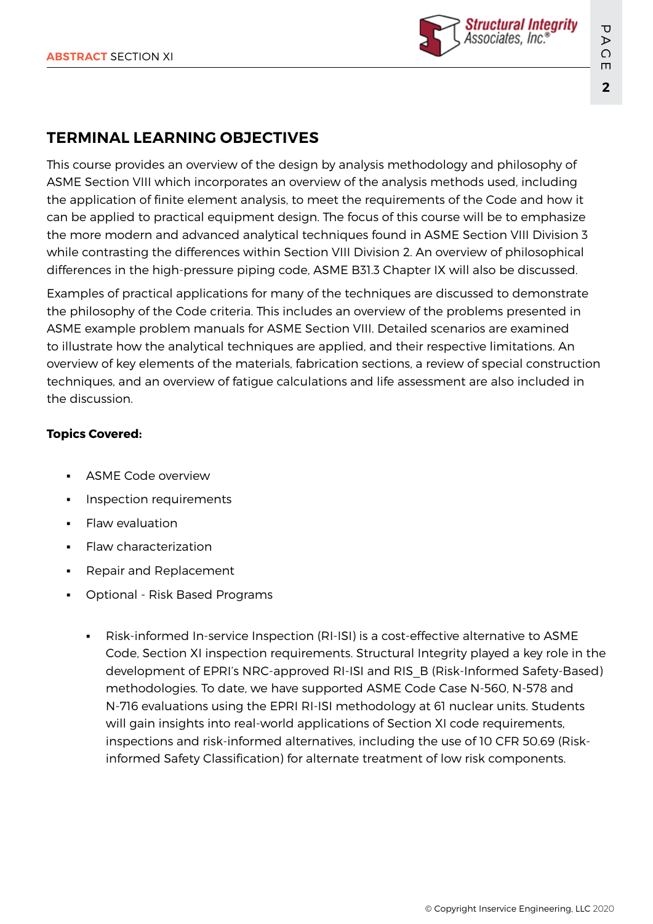

## **TERMINAL LEARNING OBJECTIVES**

This course provides an overview of the design by analysis methodology and philosophy of ASME Section VIII which incorporates an overview of the analysis methods used, including the application of finite element analysis, to meet the requirements of the Code and how it can be applied to practical equipment design. The focus of this course will be to emphasize the more modern and advanced analytical techniques found in ASME Section VIII Division 3 while contrasting the differences within Section VIII Division 2. An overview of philosophical differences in the high-pressure piping code, ASME B31.3 Chapter IX will also be discussed.

Examples of practical applications for many of the techniques are discussed to demonstrate the philosophy of the Code criteria. This includes an overview of the problems presented in ASME example problem manuals for ASME Section VIII. Detailed scenarios are examined to illustrate how the analytical techniques are applied, and their respective limitations. An overview of key elements of the materials, fabrication sections, a review of special construction techniques, and an overview of fatigue calculations and life assessment are also included in the discussion.

## **Topics Covered:**

- ASME Code overview
- Inspection requirements
- **Flaw evaluation**
- Flaw characterization
- **Repair and Replacement**
- Optional Risk Based Programs
	- Risk-informed In-service Inspection (RI-ISI) is a cost-effective alternative to ASME Code, Section XI inspection requirements. Structural Integrity played a key role in the development of EPRI's NRC-approved RI-ISI and RIS\_B (Risk-Informed Safety-Based) methodologies. To date, we have supported ASME Code Case N-560, N-578 and N-716 evaluations using the EPRI RI-ISI methodology at 61 nuclear units. Students will gain insights into real-world applications of Section XI code requirements, inspections and risk-informed alternatives, including the use of 10 CFR 50.69 (Riskinformed Safety Classification) for alternate treatment of low risk components.